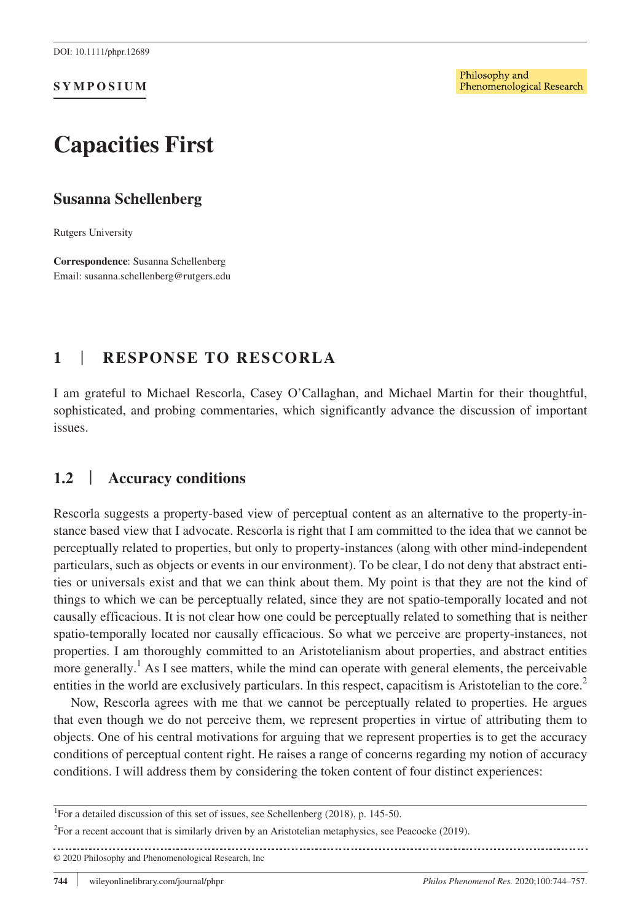**SYMPOSIUM**

# **Capacities First**

## **Susanna Schellenberg**

Rutgers University

**Correspondence**: Susanna Schellenberg Email: [susanna.schellenberg@rutgers.edu](mailto:susanna.schellenberg@rutgers.edu)

# **1** | **RESPONSE TO RESCORLA**

I am grateful to Michael Rescorla, Casey O'Callaghan, and Michael Martin for their thoughtful, sophisticated, and probing commentaries, which significantly advance the discussion of important issues.

## **1.2** | **Accuracy conditions**

Rescorla suggests a property-based view of perceptual content as an alternative to the property-instance based view that I advocate. Rescorla is right that I am committed to the idea that we cannot be perceptually related to properties, but only to property-instances (along with other mind-independent particulars, such as objects or events in our environment). To be clear, I do not deny that abstract entities or universals exist and that we can think about them. My point is that they are not the kind of things to which we can be perceptually related, since they are not spatio-temporally located and not causally efficacious. It is not clear how one could be perceptually related to something that is neither spatio-temporally located nor causally efficacious. So what we perceive are property-instances, not properties. I am thoroughly committed to an Aristotelianism about properties, and abstract entities more generally.<sup>1</sup> As I see matters, while the mind can operate with general elements, the perceivable entities in the world are exclusively particulars. In this respect, capacitism is Aristotelian to the core.<sup>2</sup>

Now, Rescorla agrees with me that we cannot be perceptually related to properties. He argues that even though we do not perceive them, we represent properties in virtue of attributing them to objects. One of his central motivations for arguing that we represent properties is to get the accuracy conditions of perceptual content right. He raises a range of concerns regarding my notion of accuracy conditions. I will address them by considering the token content of four distinct experiences:

 ${}^{2}$ For a recent account that is similarly driven by an Aristotelian metaphysics, see Peacocke (2019).

© 2020 Philosophy and Phenomenological Research, Inc

<sup>&</sup>lt;sup>1</sup>For a detailed discussion of this set of issues, see Schellenberg (2018), p. 145-50.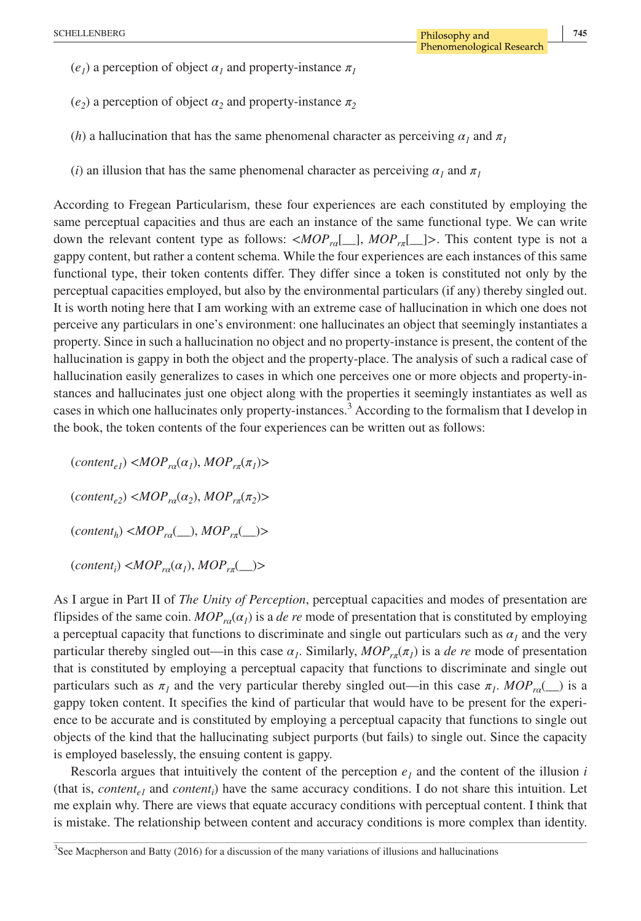- $(e_1)$  a perception of object  $\alpha_1$  and property-instance  $\pi_1$
- $(e_2)$  a perception of object  $\alpha_2$  and property-instance  $\pi_2$
- (*h*) a hallucination that has the same phenomenal character as perceiving  $\alpha_1$  and  $\pi_1$
- (*i*) an illusion that has the same phenomenal character as perceiving  $\alpha_1$  and  $\pi_1$

According to Fregean Particularism, these four experiences are each constituted by employing the same perceptual capacities and thus are each an instance of the same functional type. We can write down the relevant content type as follows: <*MOPrα*[\_\_], *MOPrπ*[\_\_]>. This content type is not a gappy content, but rather a content schema. While the four experiences are each instances of this same functional type, their token contents differ. They differ since a token is constituted not only by the perceptual capacities employed, but also by the environmental particulars (if any) thereby singled out. It is worth noting here that I am working with an extreme case of hallucination in which one does not perceive any particulars in one's environment: one hallucinates an object that seemingly instantiates a property. Since in such a hallucination no object and no property-instance is present, the content of the hallucination is gappy in both the object and the property-place. The analysis of such a radical case of hallucination easily generalizes to cases in which one perceives one or more objects and property-instances and hallucinates just one object along with the properties it seemingly instantiates as well as cases in which one hallucinates only property-instances.<sup>3</sup> According to the formalism that I develop in the book, the token contents of the four experiences can be written out as follows:

 $(\text{content}_{e1}) \le MOP_{ra}(\alpha_1), MOP_{r\pi}(\pi_1)$  $(\text{content}_{e2}) < MOP_{ra}(\alpha_2), MOP_{ra}(\pi_2)$  $(content_h) < MOP_{ra}$ (*\_\_)*,  $MOP_{rx}$ (*\_\_)*  $(\text{content}_i) \langle \text{MOP}_{ra}(\alpha_i), \text{MOP}_{ra}(\_\rangle)$ 

As I argue in Part II of *The Unity of Perception*, perceptual capacities and modes of presentation are flipsides of the same coin.  $MOP_{ra}(\alpha_1)$  is a *de re* mode of presentation that is constituted by employing a perceptual capacity that functions to discriminate and single out particulars such as  $\alpha_1$  and the very particular thereby singled out—in this case  $\alpha_1$ . Similarly,  $MOP_{r\pi}(\pi_1)$  is a *de re* mode of presentation that is constituted by employing a perceptual capacity that functions to discriminate and single out particulars such as  $\pi_1$  and the very particular thereby singled out—in this case  $\pi_1$ . *MOP<sub>ra</sub>*(\_\_) is a gappy token content. It specifies the kind of particular that would have to be present for the experience to be accurate and is constituted by employing a perceptual capacity that functions to single out objects of the kind that the hallucinating subject purports (but fails) to single out. Since the capacity is employed baselessly, the ensuing content is gappy.

Rescorla argues that intuitively the content of the perception  $e_1$  and the content of the illusion *i* (that is, *content<sub>e1</sub>* and *content<sub>i</sub>*) have the same accuracy conditions. I do not share this intuition. Let me explain why. There are views that equate accuracy conditions with perceptual content. I think that is mistake. The relationship between content and accuracy conditions is more complex than identity.

<sup>&</sup>lt;sup>3</sup>See Macpherson and Batty (2016) for a discussion of the many variations of illusions and hallucinations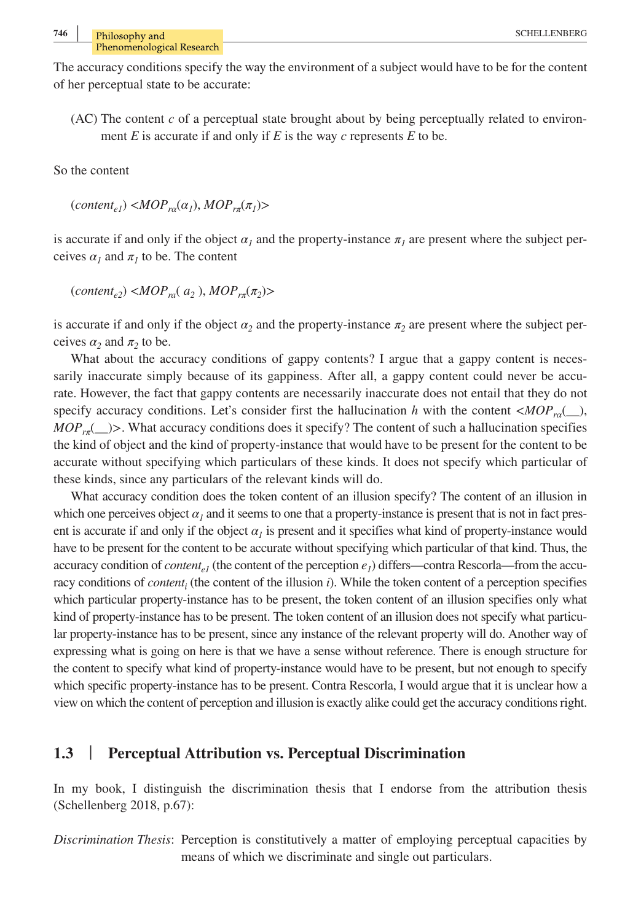The accuracy conditions specify the way the environment of a subject would have to be for the content of her perceptual state to be accurate:

(AC) The content *c* of a perceptual state brought about by being perceptually related to environment  $E$  is accurate if and only if  $E$  is the way  $c$  represents  $E$  to be.

So the content

 $(\text{content}_{el}) \le MOP_{r\alpha}(\alpha_1), MOP_{r\pi}(\pi_1)$ 

is accurate if and only if the object  $\alpha_1$  and the property-instance  $\pi_1$  are present where the subject perceives  $\alpha_1$  and  $\pi_1$  to be. The content

 $(content_{e2}) < MOP_{ra}(a_2), MOP_{r\pi}(\pi_2)$ 

is accurate if and only if the object  $\alpha_2$  and the property-instance  $\pi_2$  are present where the subject perceives  $\alpha_2$  and  $\pi_2$  to be.

What about the accuracy conditions of gappy contents? I argue that a gappy content is necessarily inaccurate simply because of its gappiness. After all, a gappy content could never be accurate. However, the fact that gappy contents are necessarily inaccurate does not entail that they do not specify accuracy conditions. Let's consider first the hallucination *h* with the content  $\langle MOP_{ra}(\_)\rangle$ ,  $MOP_{r\pi}$   $\rightarrow$  >. What accuracy conditions does it specify? The content of such a hallucination specifies the kind of object and the kind of property-instance that would have to be present for the content to be accurate without specifying which particulars of these kinds. It does not specify which particular of these kinds, since any particulars of the relevant kinds will do.

What accuracy condition does the token content of an illusion specify? The content of an illusion in which one perceives object  $\alpha_1$  and it seems to one that a property-instance is present that is not in fact present is accurate if and only if the object  $\alpha<sub>1</sub>$  is present and it specifies what kind of property-instance would have to be present for the content to be accurate without specifying which particular of that kind. Thus, the accuracy condition of *content<sub>e1</sub>* (the content of the perception  $e_1$ ) differs—contra Rescorla—from the accuracy conditions of *content<sub>i</sub>* (the content of the illusion *i*). While the token content of a perception specifies which particular property-instance has to be present, the token content of an illusion specifies only what kind of property-instance has to be present. The token content of an illusion does not specify what particular property-instance has to be present, since any instance of the relevant property will do. Another way of expressing what is going on here is that we have a sense without reference. There is enough structure for the content to specify what kind of property-instance would have to be present, but not enough to specify which specific property-instance has to be present. Contra Rescorla, I would argue that it is unclear how a view on which the content of perception and illusion is exactly alike could get the accuracy conditions right.

#### **1.3** | **Perceptual Attribution vs. Perceptual Discrimination**

In my book, I distinguish the discrimination thesis that I endorse from the attribution thesis (Schellenberg 2018, p.67):

*Discrimination Thesis*: Perception is constitutively a matter of employing perceptual capacities by means of which we discriminate and single out particulars.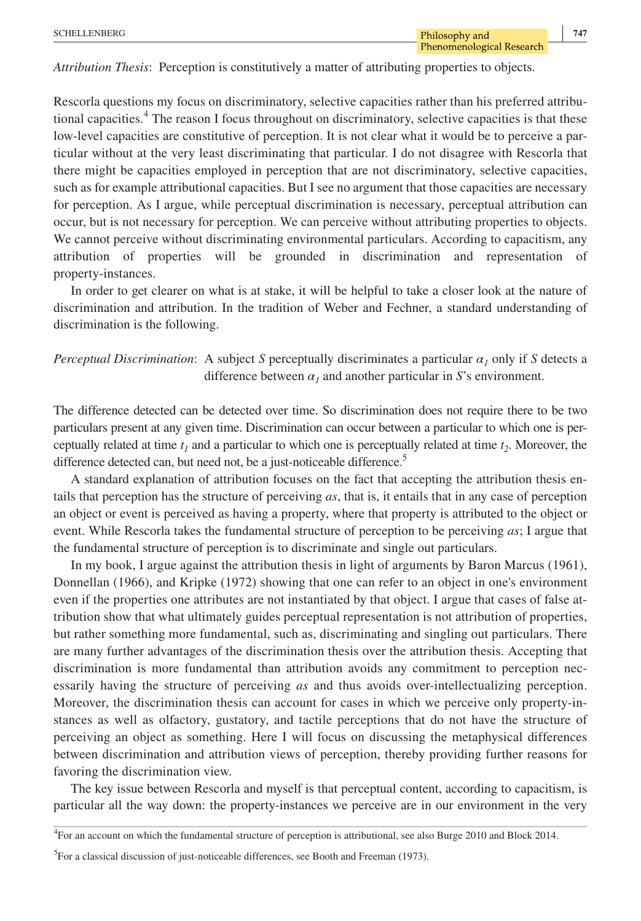| <b>SCHELI</b><br><b>ENRER</b> | T1.<br>ana.               |  |
|-------------------------------|---------------------------|--|
|                               | kesearch<br>momenological |  |

*Attribution Thesis*: Perception is constitutively a matter of attributing properties to objects.

Rescorla questions my focus on discriminatory, selective capacities rather than his preferred attributional capacities.<sup>4</sup> The reason I focus throughout on discriminatory, selective capacities is that these low-level capacities are constitutive of perception. It is not clear what it would be to perceive a particular without at the very least discriminating that particular. I do not disagree with Rescorla that there might be capacities employed in perception that are not discriminatory, selective capacities, such as for example attributional capacities. But I see no argument that those capacities are necessary for perception. As I argue, while perceptual discrimination is necessary, perceptual attribution can occur, but is not necessary for perception. We can perceive without attributing properties to objects. We cannot perceive without discriminating environmental particulars. According to capacitism, any attribution of properties will be grounded in discrimination and representation of property-instances.

In order to get clearer on what is at stake, it will be helpful to take a closer look at the nature of discrimination and attribution. In the tradition of Weber and Fechner, a standard understanding of discrimination is the following.

*Perceptual Discrimination*: A subject *S* perceptually discriminates a particular  $\alpha_1$  only if *S* detects a difference between  $\alpha_1$  and another particular in *S*'s environment.

The difference detected can be detected over time. So discrimination does not require there to be two particulars present at any given time. Discrimination can occur between a particular to which one is perceptually related at time  $t_1$  and a particular to which one is perceptually related at time  $t_2$ . Moreover, the difference detected can, but need not, be a just-noticeable difference.<sup>5</sup>

A standard explanation of attribution focuses on the fact that accepting the attribution thesis entails that perception has the structure of perceiving *as*, that is, it entails that in any case of perception an object or event is perceived as having a property, where that property is attributed to the object or event. While Rescorla takes the fundamental structure of perception to be perceiving *as*; I argue that the fundamental structure of perception is to discriminate and single out particulars.

In my book, I argue against the attribution thesis in light of arguments by Baron Marcus (1961), Donnellan (1966), and Kripke (1972) showing that one can refer to an object in one's environment even if the properties one attributes are not instantiated by that object. I argue that cases of false attribution show that what ultimately guides perceptual representation is not attribution of properties, but rather something more fundamental, such as, discriminating and singling out particulars. There are many further advantages of the discrimination thesis over the attribution thesis. Accepting that discrimination is more fundamental than attribution avoids any commitment to perception necessarily having the structure of perceiving *as* and thus avoids over-intellectualizing perception. Moreover, the discrimination thesis can account for cases in which we perceive only property-instances as well as olfactory, gustatory, and tactile perceptions that do not have the structure of perceiving an object as something. Here I will focus on discussing the metaphysical differences between discrimination and attribution views of perception, thereby providing further reasons for favoring the discrimination view.

The key issue between Rescorla and myself is that perceptual content, according to capacitism, is particular all the way down: the property-instances we perceive are in our environment in the very

<sup>5</sup>For a classical discussion of just-noticeable differences, see Booth and Freeman (1973).

<sup>4</sup> For an account on which the fundamental structure of perception is attributional, see also Burge 2010 and Block 2014.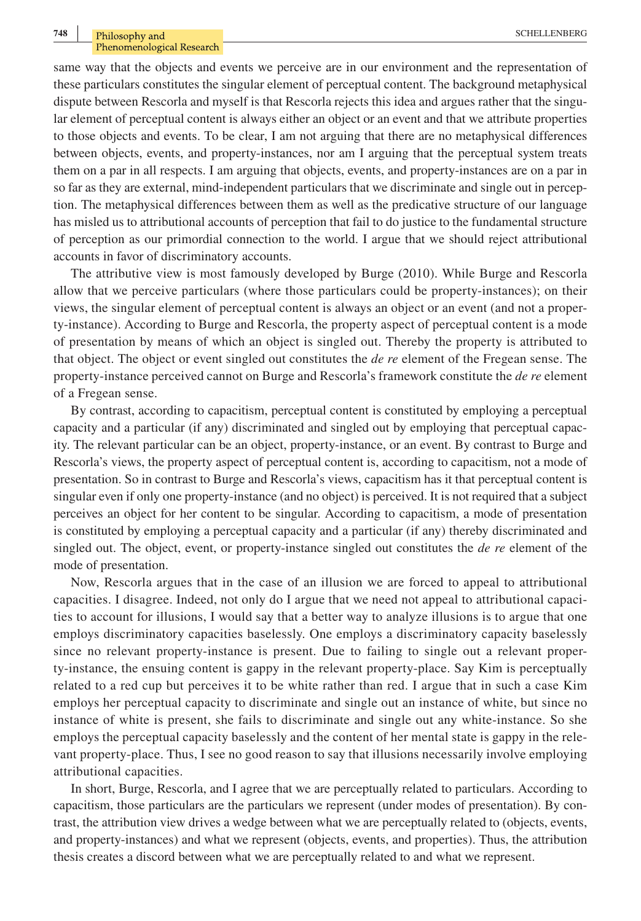#### **Philosophy and SCHELLENBERG** Phenomenological Research

**<sup>748</sup> <sup>|</sup>**

same way that the objects and events we perceive are in our environment and the representation of these particulars constitutes the singular element of perceptual content. The background metaphysical dispute between Rescorla and myself is that Rescorla rejects this idea and argues rather that the singular element of perceptual content is always either an object or an event and that we attribute properties to those objects and events. To be clear, I am not arguing that there are no metaphysical differences between objects, events, and property-instances, nor am I arguing that the perceptual system treats them on a par in all respects. I am arguing that objects, events, and property-instances are on a par in so far as they are external, mind-independent particulars that we discriminate and single out in perception. The metaphysical differences between them as well as the predicative structure of our language has misled us to attributional accounts of perception that fail to do justice to the fundamental structure of perception as our primordial connection to the world. I argue that we should reject attributional accounts in favor of discriminatory accounts.

The attributive view is most famously developed by Burge (2010). While Burge and Rescorla allow that we perceive particulars (where those particulars could be property-instances); on their views, the singular element of perceptual content is always an object or an event (and not a property-instance). According to Burge and Rescorla, the property aspect of perceptual content is a mode of presentation by means of which an object is singled out. Thereby the property is attributed to that object. The object or event singled out constitutes the *de re* element of the Fregean sense. The property-instance perceived cannot on Burge and Rescorla's framework constitute the *de re* element of a Fregean sense.

By contrast, according to capacitism, perceptual content is constituted by employing a perceptual capacity and a particular (if any) discriminated and singled out by employing that perceptual capacity. The relevant particular can be an object, property-instance, or an event. By contrast to Burge and Rescorla's views, the property aspect of perceptual content is, according to capacitism, not a mode of presentation. So in contrast to Burge and Rescorla's views, capacitism has it that perceptual content is singular even if only one property-instance (and no object) is perceived. It is not required that a subject perceives an object for her content to be singular. According to capacitism, a mode of presentation is constituted by employing a perceptual capacity and a particular (if any) thereby discriminated and singled out. The object, event, or property-instance singled out constitutes the *de re* element of the mode of presentation.

Now, Rescorla argues that in the case of an illusion we are forced to appeal to attributional capacities. I disagree. Indeed, not only do I argue that we need not appeal to attributional capacities to account for illusions, I would say that a better way to analyze illusions is to argue that one employs discriminatory capacities baselessly. One employs a discriminatory capacity baselessly since no relevant property-instance is present. Due to failing to single out a relevant property-instance, the ensuing content is gappy in the relevant property-place. Say Kim is perceptually related to a red cup but perceives it to be white rather than red. I argue that in such a case Kim employs her perceptual capacity to discriminate and single out an instance of white, but since no instance of white is present, she fails to discriminate and single out any white-instance. So she employs the perceptual capacity baselessly and the content of her mental state is gappy in the relevant property-place. Thus, I see no good reason to say that illusions necessarily involve employing attributional capacities.

In short, Burge, Rescorla, and I agree that we are perceptually related to particulars. According to capacitism, those particulars are the particulars we represent (under modes of presentation). By contrast, the attribution view drives a wedge between what we are perceptually related to (objects, events, and property-instances) and what we represent (objects, events, and properties). Thus, the attribution thesis creates a discord between what we are perceptually related to and what we represent.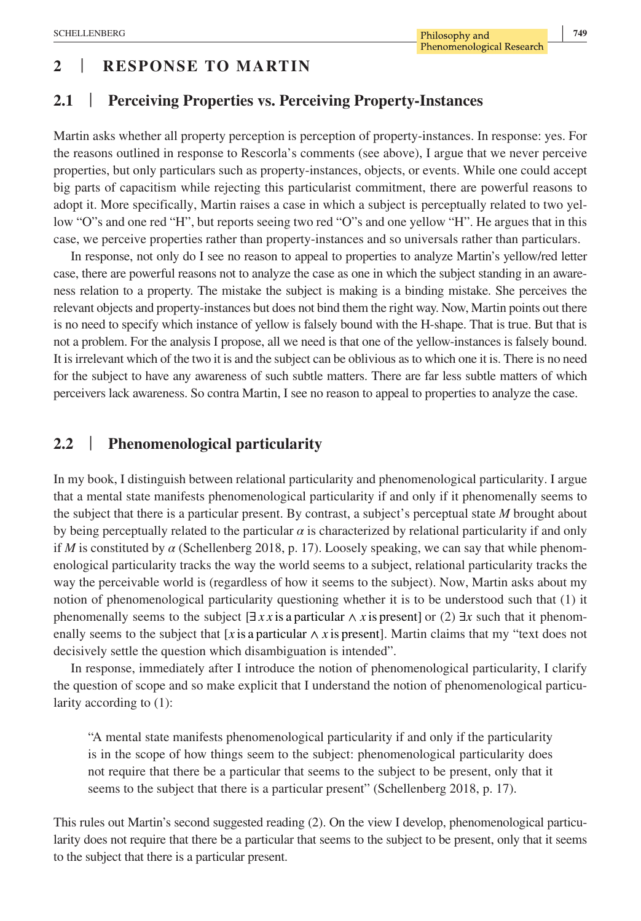## **2** | **RESPONSE TO MARTIN**

#### **2.1** | **Perceiving Properties vs. Perceiving Property-Instances**

Martin asks whether all property perception is perception of property-instances. In response: yes. For the reasons outlined in response to Rescorla's comments (see above), I argue that we never perceive properties, but only particulars such as property-instances, objects, or events. While one could accept big parts of capacitism while rejecting this particularist commitment, there are powerful reasons to adopt it. More specifically, Martin raises a case in which a subject is perceptually related to two yellow "O"s and one red "H", but reports seeing two red "O"s and one yellow "H". He argues that in this case, we perceive properties rather than property-instances and so universals rather than particulars.

In response, not only do I see no reason to appeal to properties to analyze Martin's yellow/red letter case, there are powerful reasons not to analyze the case as one in which the subject standing in an awareness relation to a property. The mistake the subject is making is a binding mistake. She perceives the relevant objects and property-instances but does not bind them the right way. Now, Martin points out there is no need to specify which instance of yellow is falsely bound with the H-shape. That is true. But that is not a problem. For the analysis I propose, all we need is that one of the yellow-instances is falsely bound. It is irrelevant which of the two it is and the subject can be oblivious as to which one it is. There is no need for the subject to have any awareness of such subtle matters. There are far less subtle matters of which perceivers lack awareness. So contra Martin, I see no reason to appeal to properties to analyze the case.

#### **2.2** | **Phenomenological particularity**

In my book, I distinguish between relational particularity and phenomenological particularity. I argue that a mental state manifests phenomenological particularity if and only if it phenomenally seems to the subject that there is a particular present. By contrast, a subject's perceptual state *M* brought about by being perceptually related to the particular  $\alpha$  is characterized by relational particularity if and only if *M* is constituted by *α* (Schellenberg 2018, p. 17). Loosely speaking, we can say that while phenomenological particularity tracks the way the world seems to a subject, relational particularity tracks the way the perceivable world is (regardless of how it seems to the subject). Now, Martin asks about my notion of phenomenological particularity questioning whether it is to be understood such that (1) it phenomenally seems to the subject  $[∃ *x* x is a particular  $\land$  x is present] or (2) ∃*x* such that it phenomena$ enally seems to the subject that [*x* is a particular ∧ *x* is present]. Martin claims that my "text does not decisively settle the question which disambiguation is intended".

In response, immediately after I introduce the notion of phenomenological particularity, I clarify the question of scope and so make explicit that I understand the notion of phenomenological particularity according to (1):

"A mental state manifests phenomenological particularity if and only if the particularity is in the scope of how things seem to the subject: phenomenological particularity does not require that there be a particular that seems to the subject to be present, only that it seems to the subject that there is a particular present" (Schellenberg 2018, p. 17).

This rules out Martin's second suggested reading (2). On the view I develop, phenomenological particularity does not require that there be a particular that seems to the subject to be present, only that it seems to the subject that there is a particular present.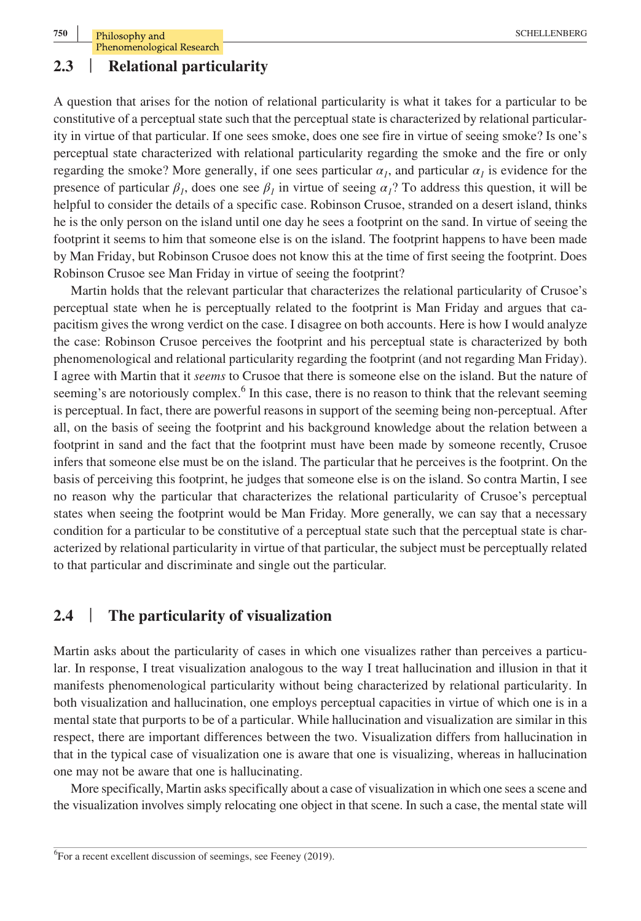#### **2.3** | **Relational particularity**

A question that arises for the notion of relational particularity is what it takes for a particular to be constitutive of a perceptual state such that the perceptual state is characterized by relational particularity in virtue of that particular. If one sees smoke, does one see fire in virtue of seeing smoke? Is one's perceptual state characterized with relational particularity regarding the smoke and the fire or only regarding the smoke? More generally, if one sees particular  $\alpha<sub>1</sub>$ , and particular  $\alpha<sub>1</sub>$  is evidence for the presence of particular  $\beta_l$ , does one see  $\beta_l$  in virtue of seeing  $\alpha_l$ ? To address this question, it will be helpful to consider the details of a specific case. Robinson Crusoe, stranded on a desert island, thinks he is the only person on the island until one day he sees a footprint on the sand. In virtue of seeing the footprint it seems to him that someone else is on the island. The footprint happens to have been made by Man Friday, but Robinson Crusoe does not know this at the time of first seeing the footprint. Does Robinson Crusoe see Man Friday in virtue of seeing the footprint?

Martin holds that the relevant particular that characterizes the relational particularity of Crusoe's perceptual state when he is perceptually related to the footprint is Man Friday and argues that capacitism gives the wrong verdict on the case. I disagree on both accounts. Here is how I would analyze the case: Robinson Crusoe perceives the footprint and his perceptual state is characterized by both phenomenological and relational particularity regarding the footprint (and not regarding Man Friday). I agree with Martin that it *seems* to Crusoe that there is someone else on the island. But the nature of seeming's are notoriously complex.<sup>6</sup> In this case, there is no reason to think that the relevant seeming is perceptual. In fact, there are powerful reasons in support of the seeming being non-perceptual. After all, on the basis of seeing the footprint and his background knowledge about the relation between a footprint in sand and the fact that the footprint must have been made by someone recently, Crusoe infers that someone else must be on the island. The particular that he perceives is the footprint. On the basis of perceiving this footprint, he judges that someone else is on the island. So contra Martin, I see no reason why the particular that characterizes the relational particularity of Crusoe's perceptual states when seeing the footprint would be Man Friday. More generally, we can say that a necessary condition for a particular to be constitutive of a perceptual state such that the perceptual state is characterized by relational particularity in virtue of that particular, the subject must be perceptually related to that particular and discriminate and single out the particular.

## **2.4** | **The particularity of visualization**

Martin asks about the particularity of cases in which one visualizes rather than perceives a particular. In response, I treat visualization analogous to the way I treat hallucination and illusion in that it manifests phenomenological particularity without being characterized by relational particularity. In both visualization and hallucination, one employs perceptual capacities in virtue of which one is in a mental state that purports to be of a particular. While hallucination and visualization are similar in this respect, there are important differences between the two. Visualization differs from hallucination in that in the typical case of visualization one is aware that one is visualizing, whereas in hallucination one may not be aware that one is hallucinating.

More specifically, Martin asks specifically about a case of visualization in which one sees a scene and the visualization involves simply relocating one object in that scene. In such a case, the mental state will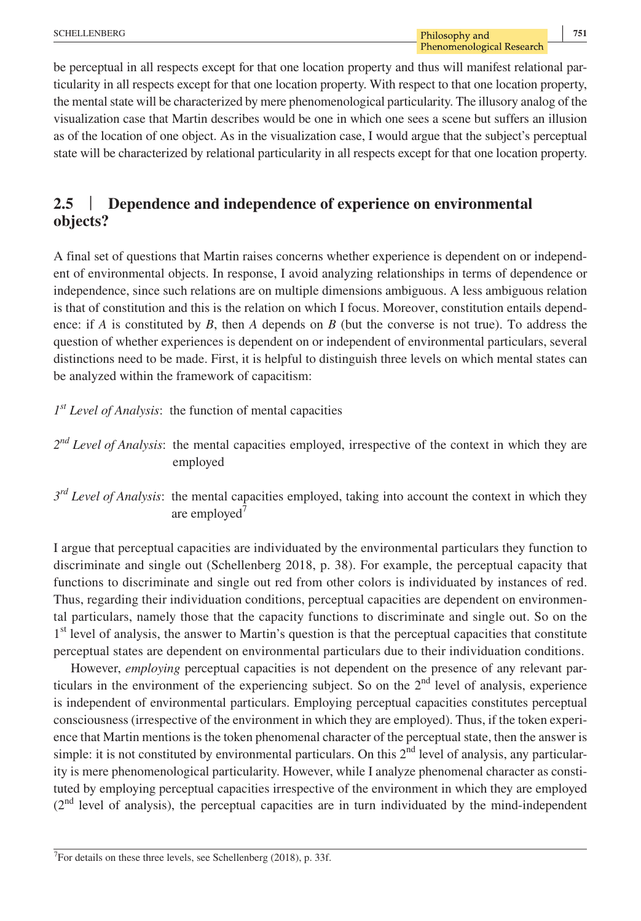be perceptual in all respects except for that one location property and thus will manifest relational particularity in all respects except for that one location property. With respect to that one location property, the mental state will be characterized by mere phenomenological particularity. The illusory analog of the visualization case that Martin describes would be one in which one sees a scene but suffers an illusion as of the location of one object. As in the visualization case, I would argue that the subject's perceptual state will be characterized by relational particularity in all respects except for that one location property.

# **2.5** | **Dependence and independence of experience on environmental objects?**

A final set of questions that Martin raises concerns whether experience is dependent on or independent of environmental objects. In response, I avoid analyzing relationships in terms of dependence or independence, since such relations are on multiple dimensions ambiguous. A less ambiguous relation is that of constitution and this is the relation on which I focus. Moreover, constitution entails dependence: if *A* is constituted by *B*, then *A* depends on *B* (but the converse is not true). To address the question of whether experiences is dependent on or independent of environmental particulars, several distinctions need to be made. First, it is helpful to distinguish three levels on which mental states can be analyzed within the framework of capacitism:

*1st Level of Analysis*: the function of mental capacities

- *2nd Level of Analysis*: the mental capacities employed, irrespective of the context in which they are employed
- *3<sup>rd</sup> Level of Analysis*: the mental capacities employed, taking into account the context in which they are employed $'$

I argue that perceptual capacities are individuated by the environmental particulars they function to discriminate and single out (Schellenberg 2018, p. 38). For example, the perceptual capacity that functions to discriminate and single out red from other colors is individuated by instances of red. Thus, regarding their individuation conditions, perceptual capacities are dependent on environmental particulars, namely those that the capacity functions to discriminate and single out. So on the  $1<sup>st</sup>$  level of analysis, the answer to Martin's question is that the perceptual capacities that constitute perceptual states are dependent on environmental particulars due to their individuation conditions.

However, *employing* perceptual capacities is not dependent on the presence of any relevant particulars in the environment of the experiencing subject. So on the  $2<sup>nd</sup>$  level of analysis, experience is independent of environmental particulars. Employing perceptual capacities constitutes perceptual consciousness (irrespective of the environment in which they are employed). Thus, if the token experience that Martin mentions is the token phenomenal character of the perceptual state, then the answer is simple: it is not constituted by environmental particulars. On this  $2<sup>nd</sup>$  level of analysis, any particularity is mere phenomenological particularity. However, while I analyze phenomenal character as constituted by employing perceptual capacities irrespective of the environment in which they are employed  $(2<sup>nd</sup>$  level of analysis), the perceptual capacities are in turn individuated by the mind-independent

<sup>&</sup>lt;sup>7</sup>For details on these three levels, see Schellenberg (2018), p. 33f.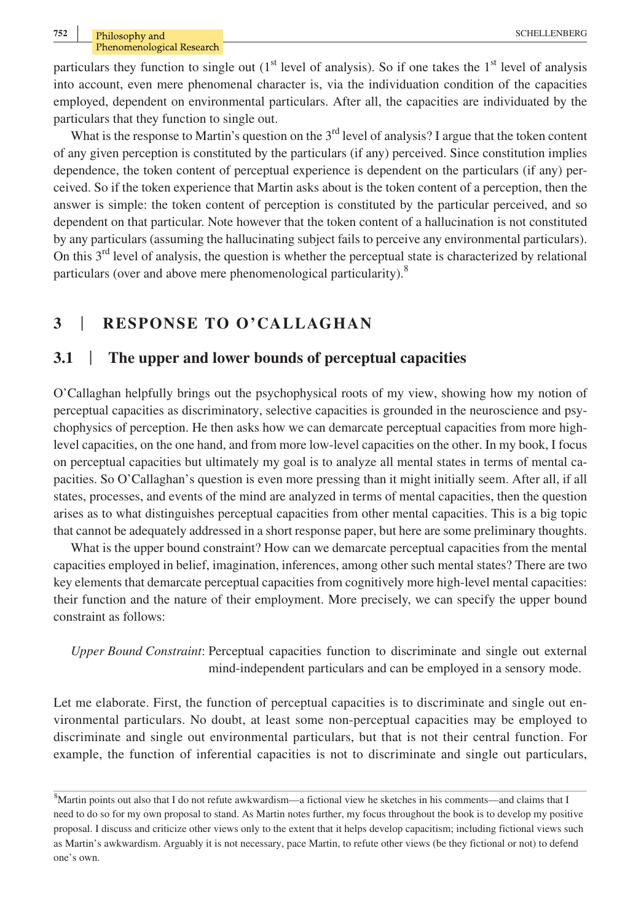particulars they function to single out  $(1<sup>st</sup> level of analysis)$ . So if one takes the  $1<sup>st</sup>$  level of analysis into account, even mere phenomenal character is, via the individuation condition of the capacities employed, dependent on environmental particulars. After all, the capacities are individuated by the particulars that they function to single out.

What is the response to Martin's question on the  $3<sup>rd</sup>$  level of analysis? I argue that the token content of any given perception is constituted by the particulars (if any) perceived. Since constitution implies dependence, the token content of perceptual experience is dependent on the particulars (if any) perceived. So if the token experience that Martin asks about is the token content of a perception, then the answer is simple: the token content of perception is constituted by the particular perceived, and so dependent on that particular. Note however that the token content of a hallucination is not constituted by any particulars (assuming the hallucinating subject fails to perceive any environmental particulars). On this  $3<sup>rd</sup>$  level of analysis, the question is whether the perceptual state is characterized by relational particulars (over and above mere phenomenological particularity).<sup>8</sup>

# **3** | **RESPONSE TO O'CALLAGHAN**

## **3.1** | **The upper and lower bounds of perceptual capacities**

O'Callaghan helpfully brings out the psychophysical roots of my view, showing how my notion of perceptual capacities as discriminatory, selective capacities is grounded in the neuroscience and psychophysics of perception. He then asks how we can demarcate perceptual capacities from more highlevel capacities, on the one hand, and from more low-level capacities on the other. In my book, I focus on perceptual capacities but ultimately my goal is to analyze all mental states in terms of mental capacities. So O'Callaghan's question is even more pressing than it might initially seem. After all, if all states, processes, and events of the mind are analyzed in terms of mental capacities, then the question arises as to what distinguishes perceptual capacities from other mental capacities. This is a big topic that cannot be adequately addressed in a short response paper, but here are some preliminary thoughts.

What is the upper bound constraint? How can we demarcate perceptual capacities from the mental capacities employed in belief, imagination, inferences, among other such mental states? There are two key elements that demarcate perceptual capacities from cognitively more high-level mental capacities: their function and the nature of their employment. More precisely, we can specify the upper bound constraint as follows:

*Upper Bound Constraint*: Perceptual capacities function to discriminate and single out external mind-independent particulars and can be employed in a sensory mode.

Let me elaborate. First, the function of perceptual capacities is to discriminate and single out environmental particulars. No doubt, at least some non-perceptual capacities may be employed to discriminate and single out environmental particulars, but that is not their central function. For example, the function of inferential capacities is not to discriminate and single out particulars,

<sup>8</sup> Martin points out also that I do not refute awkwardism—a fictional view he sketches in his comments—and claims that I need to do so for my own proposal to stand. As Martin notes further, my focus throughout the book is to develop my positive proposal. I discuss and criticize other views only to the extent that it helps develop capacitism; including fictional views such as Martin's awkwardism. Arguably it is not necessary, pace Martin, to refute other views (be they fictional or not) to defend one's own.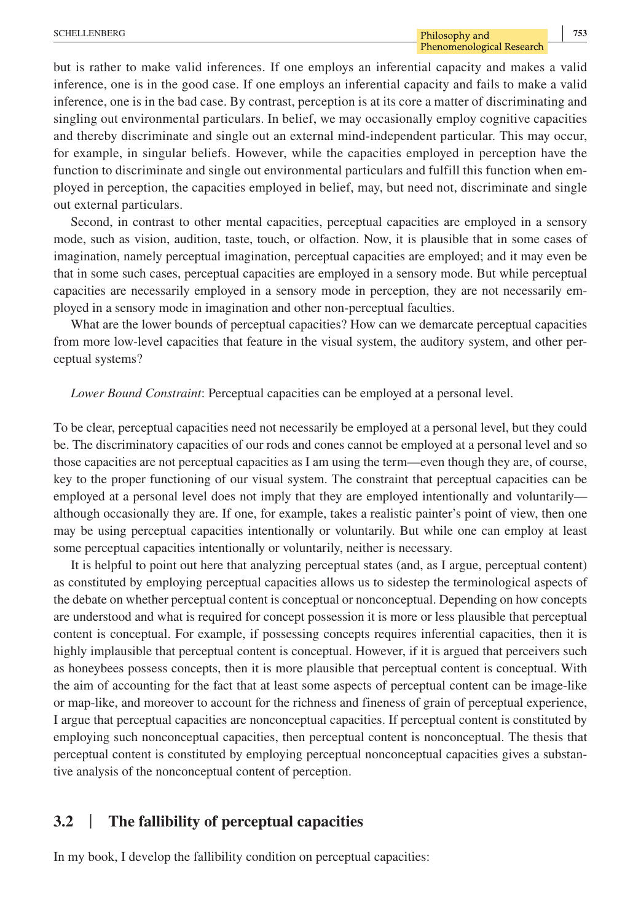but is rather to make valid inferences. If one employs an inferential capacity and makes a valid inference, one is in the good case. If one employs an inferential capacity and fails to make a valid inference, one is in the bad case. By contrast, perception is at its core a matter of discriminating and singling out environmental particulars. In belief, we may occasionally employ cognitive capacities and thereby discriminate and single out an external mind-independent particular. This may occur, for example, in singular beliefs. However, while the capacities employed in perception have the function to discriminate and single out environmental particulars and fulfill this function when employed in perception, the capacities employed in belief, may, but need not, discriminate and single out external particulars.

Second, in contrast to other mental capacities, perceptual capacities are employed in a sensory mode, such as vision, audition, taste, touch, or olfaction. Now, it is plausible that in some cases of imagination, namely perceptual imagination, perceptual capacities are employed; and it may even be that in some such cases, perceptual capacities are employed in a sensory mode. But while perceptual capacities are necessarily employed in a sensory mode in perception, they are not necessarily employed in a sensory mode in imagination and other non-perceptual faculties.

What are the lower bounds of perceptual capacities? How can we demarcate perceptual capacities from more low-level capacities that feature in the visual system, the auditory system, and other perceptual systems?

*Lower Bound Constraint*: Perceptual capacities can be employed at a personal level.

To be clear, perceptual capacities need not necessarily be employed at a personal level, but they could be. The discriminatory capacities of our rods and cones cannot be employed at a personal level and so those capacities are not perceptual capacities as I am using the term—even though they are, of course, key to the proper functioning of our visual system. The constraint that perceptual capacities can be employed at a personal level does not imply that they are employed intentionally and voluntarily although occasionally they are. If one, for example, takes a realistic painter's point of view, then one may be using perceptual capacities intentionally or voluntarily. But while one can employ at least some perceptual capacities intentionally or voluntarily, neither is necessary.

It is helpful to point out here that analyzing perceptual states (and, as I argue, perceptual content) as constituted by employing perceptual capacities allows us to sidestep the terminological aspects of the debate on whether perceptual content is conceptual or nonconceptual. Depending on how concepts are understood and what is required for concept possession it is more or less plausible that perceptual content is conceptual. For example, if possessing concepts requires inferential capacities, then it is highly implausible that perceptual content is conceptual. However, if it is argued that perceivers such as honeybees possess concepts, then it is more plausible that perceptual content is conceptual. With the aim of accounting for the fact that at least some aspects of perceptual content can be image-like or map-like, and moreover to account for the richness and fineness of grain of perceptual experience, I argue that perceptual capacities are nonconceptual capacities. If perceptual content is constituted by employing such nonconceptual capacities, then perceptual content is nonconceptual. The thesis that perceptual content is constituted by employing perceptual nonconceptual capacities gives a substantive analysis of the nonconceptual content of perception.

# **3.2** | **The fallibility of perceptual capacities**

In my book, I develop the fallibility condition on perceptual capacities: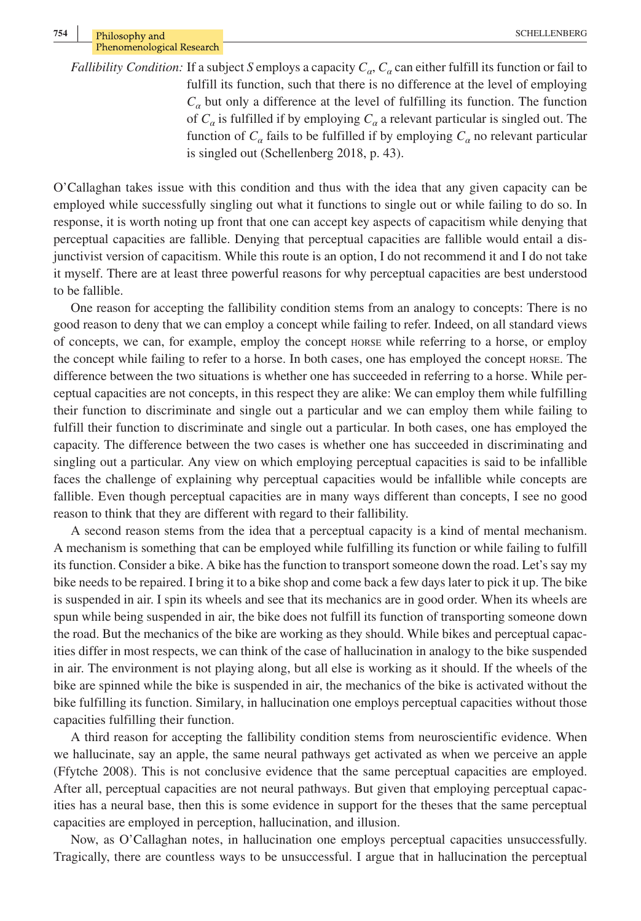*Fallibility Condition:* If a subject *S* employs a capacity  $C_\alpha$ ,  $C_\alpha$  can either fulfill its function or fail to fulfill its function, such that there is no difference at the level of employing  $C_a$  but only a difference at the level of fulfilling its function. The function of  $C_\alpha$  is fulfilled if by employing  $C_\alpha$  a relevant particular is singled out. The function of  $C_\alpha$  fails to be fulfilled if by employing  $C_\alpha$  no relevant particular is singled out (Schellenberg 2018, p. 43).

O'Callaghan takes issue with this condition and thus with the idea that any given capacity can be employed while successfully singling out what it functions to single out or while failing to do so. In response, it is worth noting up front that one can accept key aspects of capacitism while denying that perceptual capacities are fallible. Denying that perceptual capacities are fallible would entail a disjunctivist version of capacitism. While this route is an option, I do not recommend it and I do not take it myself. There are at least three powerful reasons for why perceptual capacities are best understood to be fallible.

One reason for accepting the fallibility condition stems from an analogy to concepts: There is no good reason to deny that we can employ a concept while failing to refer. Indeed, on all standard views of concepts, we can, for example, employ the concept horse while referring to a horse, or employ the concept while failing to refer to a horse. In both cases, one has employed the concept horse. The difference between the two situations is whether one has succeeded in referring to a horse. While perceptual capacities are not concepts, in this respect they are alike: We can employ them while fulfilling their function to discriminate and single out a particular and we can employ them while failing to fulfill their function to discriminate and single out a particular. In both cases, one has employed the capacity. The difference between the two cases is whether one has succeeded in discriminating and singling out a particular. Any view on which employing perceptual capacities is said to be infallible faces the challenge of explaining why perceptual capacities would be infallible while concepts are fallible. Even though perceptual capacities are in many ways different than concepts, I see no good reason to think that they are different with regard to their fallibility.

A second reason stems from the idea that a perceptual capacity is a kind of mental mechanism. A mechanism is something that can be employed while fulfilling its function or while failing to fulfill its function. Consider a bike. A bike has the function to transport someone down the road. Let's say my bike needs to be repaired. I bring it to a bike shop and come back a few days later to pick it up. The bike is suspended in air. I spin its wheels and see that its mechanics are in good order. When its wheels are spun while being suspended in air, the bike does not fulfill its function of transporting someone down the road. But the mechanics of the bike are working as they should. While bikes and perceptual capacities differ in most respects, we can think of the case of hallucination in analogy to the bike suspended in air. The environment is not playing along, but all else is working as it should. If the wheels of the bike are spinned while the bike is suspended in air, the mechanics of the bike is activated without the bike fulfilling its function. Similary, in hallucination one employs perceptual capacities without those capacities fulfilling their function.

A third reason for accepting the fallibility condition stems from neuroscientific evidence. When we hallucinate, say an apple, the same neural pathways get activated as when we perceive an apple (Ffytche 2008). This is not conclusive evidence that the same perceptual capacities are employed. After all, perceptual capacities are not neural pathways. But given that employing perceptual capacities has a neural base, then this is some evidence in support for the theses that the same perceptual capacities are employed in perception, hallucination, and illusion.

Now, as O'Callaghan notes, in hallucination one employs perceptual capacities unsuccessfully. Tragically, there are countless ways to be unsuccessful. I argue that in hallucination the perceptual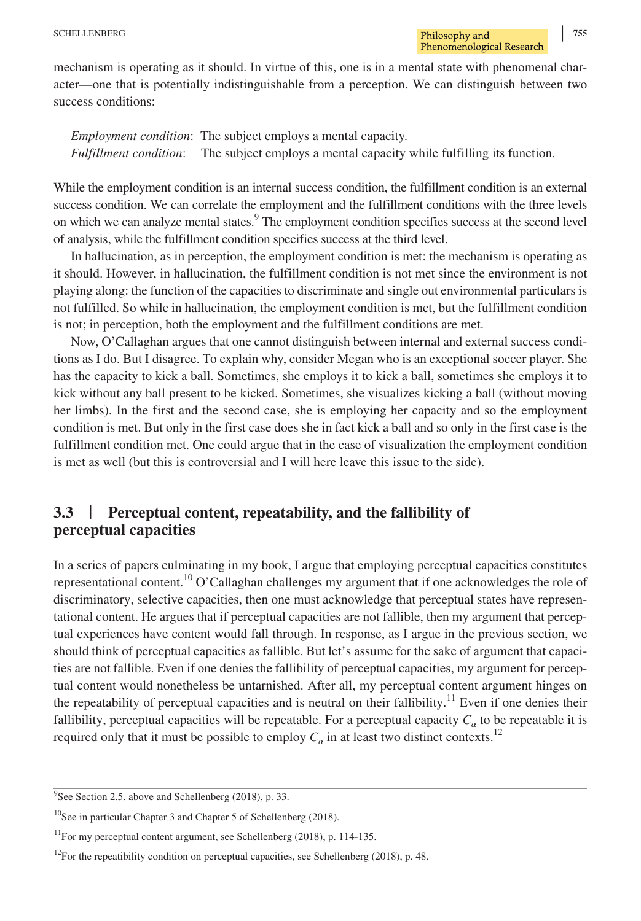mechanism is operating as it should. In virtue of this, one is in a mental state with phenomenal character—one that is potentially indistinguishable from a perception. We can distinguish between two success conditions:

*Employment condition*: The subject employs a mental capacity. *Fulfillment condition*: The subject employs a mental capacity while fulfilling its function.

While the employment condition is an internal success condition, the fulfillment condition is an external success condition. We can correlate the employment and the fulfillment conditions with the three levels on which we can analyze mental states.<sup>9</sup> The employment condition specifies success at the second level of analysis, while the fulfillment condition specifies success at the third level.

In hallucination, as in perception, the employment condition is met: the mechanism is operating as it should. However, in hallucination, the fulfillment condition is not met since the environment is not playing along: the function of the capacities to discriminate and single out environmental particulars is not fulfilled. So while in hallucination, the employment condition is met, but the fulfillment condition is not; in perception, both the employment and the fulfillment conditions are met.

Now, O'Callaghan argues that one cannot distinguish between internal and external success conditions as I do. But I disagree. To explain why, consider Megan who is an exceptional soccer player. She has the capacity to kick a ball. Sometimes, she employs it to kick a ball, sometimes she employs it to kick without any ball present to be kicked. Sometimes, she visualizes kicking a ball (without moving her limbs). In the first and the second case, she is employing her capacity and so the employment condition is met. But only in the first case does she in fact kick a ball and so only in the first case is the fulfillment condition met. One could argue that in the case of visualization the employment condition is met as well (but this is controversial and I will here leave this issue to the side).

## **3.3** | **Perceptual content, repeatability, and the fallibility of perceptual capacities**

In a series of papers culminating in my book, I argue that employing perceptual capacities constitutes representational content.<sup>10</sup> O'Callaghan challenges my argument that if one acknowledges the role of discriminatory, selective capacities, then one must acknowledge that perceptual states have representational content. He argues that if perceptual capacities are not fallible, then my argument that perceptual experiences have content would fall through. In response, as I argue in the previous section, we should think of perceptual capacities as fallible. But let's assume for the sake of argument that capacities are not fallible. Even if one denies the fallibility of perceptual capacities, my argument for perceptual content would nonetheless be untarnished. After all, my perceptual content argument hinges on the repeatability of perceptual capacities and is neutral on their fallibility.<sup>11</sup> Even if one denies their fallibility, perceptual capacities will be repeatable. For a perceptual capacity  $C_{\alpha}$  to be repeatable it is required only that it must be possible to employ  $C_{\alpha}$  in at least two distinct contexts.<sup>12</sup>

<sup>&</sup>lt;sup>9</sup>See Section 2.5. above and Schellenberg (2018), p. 33.

 $10$ See in particular Chapter 3 and Chapter 5 of Schellenberg (2018).

 $11$ For my perceptual content argument, see Schellenberg (2018), p. 114-135.

<sup>&</sup>lt;sup>12</sup>For the repeatibility condition on perceptual capacities, see Schellenberg (2018), p. 48.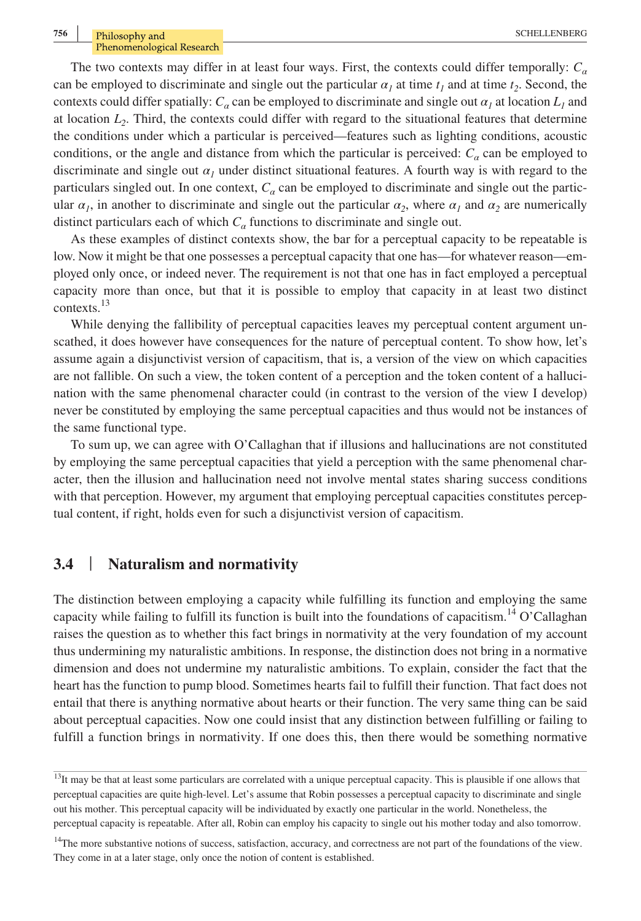#### **Philosophy and SCHELLENBERG** *SCHELLENBERG* Phenomenological Research

**<sup>756</sup> <sup>|</sup>**

The two contexts may differ in at least four ways. First, the contexts could differ temporally:  $C_a$ can be employed to discriminate and single out the particular  $\alpha_1$  at time  $t_1$  and at time  $t_2$ . Second, the contexts could differ spatially:  $C_\alpha$  can be employed to discriminate and single out  $\alpha_1$  at location  $L_1$  and at location *L2*. Third, the contexts could differ with regard to the situational features that determine the conditions under which a particular is perceived—features such as lighting conditions, acoustic conditions, or the angle and distance from which the particular is perceived:  $C_a$  can be employed to discriminate and single out  $\alpha_1$  under distinct situational features. A fourth way is with regard to the particulars singled out. In one context,  $C_\alpha$  can be employed to discriminate and single out the particular  $\alpha_1$ , in another to discriminate and single out the particular  $\alpha_2$ , where  $\alpha_1$  and  $\alpha_2$  are numerically distinct particulars each of which  $C_{\alpha}$  functions to discriminate and single out.

As these examples of distinct contexts show, the bar for a perceptual capacity to be repeatable is low. Now it might be that one possesses a perceptual capacity that one has—for whatever reason—employed only once, or indeed never. The requirement is not that one has in fact employed a perceptual capacity more than once, but that it is possible to employ that capacity in at least two distinct contexts.13

While denying the fallibility of perceptual capacities leaves my perceptual content argument unscathed, it does however have consequences for the nature of perceptual content. To show how, let's assume again a disjunctivist version of capacitism, that is, a version of the view on which capacities are not fallible. On such a view, the token content of a perception and the token content of a hallucination with the same phenomenal character could (in contrast to the version of the view I develop) never be constituted by employing the same perceptual capacities and thus would not be instances of the same functional type.

To sum up, we can agree with O'Callaghan that if illusions and hallucinations are not constituted by employing the same perceptual capacities that yield a perception with the same phenomenal character, then the illusion and hallucination need not involve mental states sharing success conditions with that perception. However, my argument that employing perceptual capacities constitutes perceptual content, if right, holds even for such a disjunctivist version of capacitism.

#### **3.4** | **Naturalism and normativity**

The distinction between employing a capacity while fulfilling its function and employing the same capacity while failing to fulfill its function is built into the foundations of capacitism.<sup>14</sup> O'Callaghan raises the question as to whether this fact brings in normativity at the very foundation of my account thus undermining my naturalistic ambitions. In response, the distinction does not bring in a normative dimension and does not undermine my naturalistic ambitions. To explain, consider the fact that the heart has the function to pump blood. Sometimes hearts fail to fulfill their function. That fact does not entail that there is anything normative about hearts or their function. The very same thing can be said about perceptual capacities. Now one could insist that any distinction between fulfilling or failing to fulfill a function brings in normativity. If one does this, then there would be something normative

<sup>&</sup>lt;sup>13</sup>It may be that at least some particulars are correlated with a unique perceptual capacity. This is plausible if one allows that perceptual capacities are quite high-level. Let's assume that Robin possesses a perceptual capacity to discriminate and single out his mother. This perceptual capacity will be individuated by exactly one particular in the world. Nonetheless, the perceptual capacity is repeatable. After all, Robin can employ his capacity to single out his mother today and also tomorrow.

<sup>&</sup>lt;sup>14</sup>The more substantive notions of success, satisfaction, accuracy, and correctness are not part of the foundations of the view.

They come in at a later stage, only once the notion of content is established.